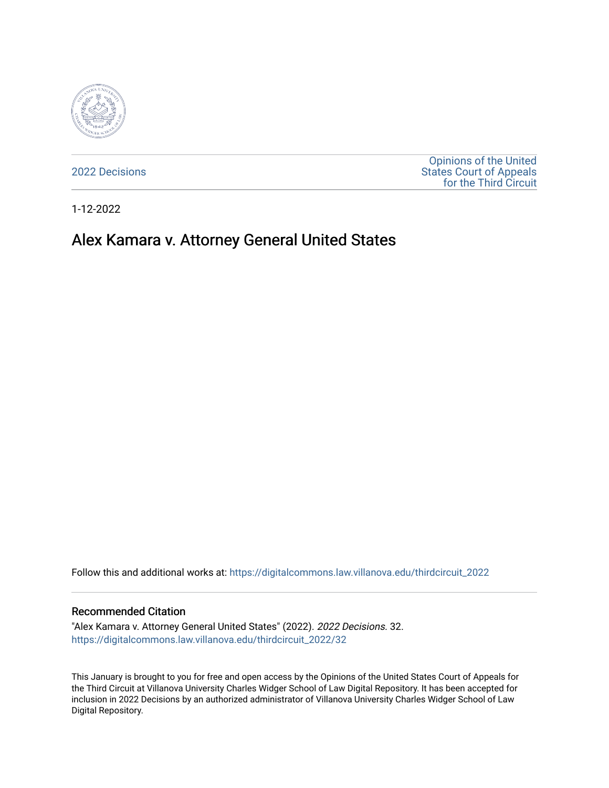

[2022 Decisions](https://digitalcommons.law.villanova.edu/thirdcircuit_2022)

[Opinions of the United](https://digitalcommons.law.villanova.edu/thirdcircuit)  [States Court of Appeals](https://digitalcommons.law.villanova.edu/thirdcircuit)  [for the Third Circuit](https://digitalcommons.law.villanova.edu/thirdcircuit) 

1-12-2022

# Alex Kamara v. Attorney General United States

Follow this and additional works at: [https://digitalcommons.law.villanova.edu/thirdcircuit\\_2022](https://digitalcommons.law.villanova.edu/thirdcircuit_2022?utm_source=digitalcommons.law.villanova.edu%2Fthirdcircuit_2022%2F32&utm_medium=PDF&utm_campaign=PDFCoverPages) 

#### Recommended Citation

"Alex Kamara v. Attorney General United States" (2022). 2022 Decisions. 32. [https://digitalcommons.law.villanova.edu/thirdcircuit\\_2022/32](https://digitalcommons.law.villanova.edu/thirdcircuit_2022/32?utm_source=digitalcommons.law.villanova.edu%2Fthirdcircuit_2022%2F32&utm_medium=PDF&utm_campaign=PDFCoverPages)

This January is brought to you for free and open access by the Opinions of the United States Court of Appeals for the Third Circuit at Villanova University Charles Widger School of Law Digital Repository. It has been accepted for inclusion in 2022 Decisions by an authorized administrator of Villanova University Charles Widger School of Law Digital Repository.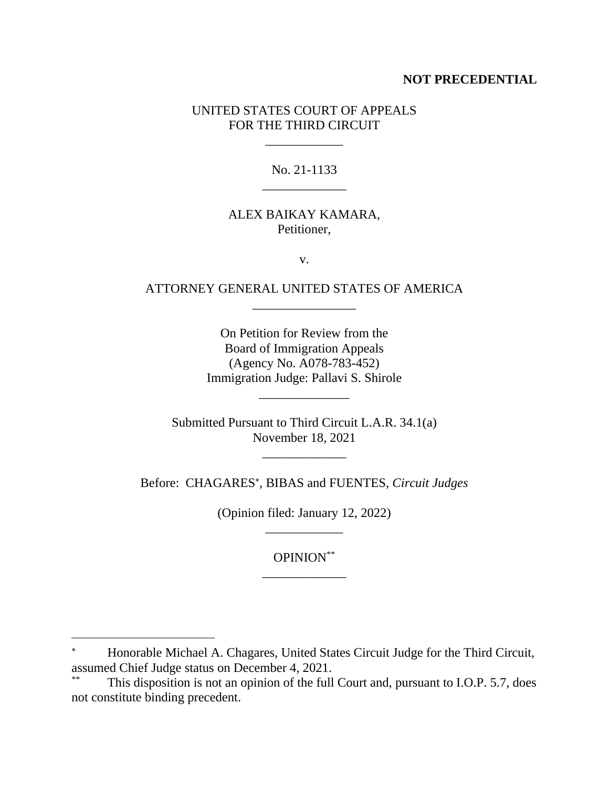### **NOT PRECEDENTIAL**

## UNITED STATES COURT OF APPEALS FOR THE THIRD CIRCUIT

\_\_\_\_\_\_\_\_\_\_\_\_

## No. 21-1133 \_\_\_\_\_\_\_\_\_\_\_\_\_

## ALEX BAIKAY KAMARA, Petitioner,

v.

### ATTORNEY GENERAL UNITED STATES OF AMERICA \_\_\_\_\_\_\_\_\_\_\_\_\_\_\_\_

On Petition for Review from the Board of Immigration Appeals (Agency No. A078-783-452) Immigration Judge: Pallavi S. Shirole

Submitted Pursuant to Third Circuit L.A.R. 34.1(a) November 18, 2021

\_\_\_\_\_\_\_\_\_\_\_\_\_

\_\_\_\_\_\_\_\_\_\_\_\_\_\_

Before: CHAGARES , BIBAS and FUENTES, *Circuit Judges*

(Opinion filed: January 12, 2022) \_\_\_\_\_\_\_\_\_\_\_\_

> OPINION\*\* \_\_\_\_\_\_\_\_\_\_\_\_\_

 $\ast$  Honorable Michael A. Chagares, United States Circuit Judge for the Third Circuit, assumed Chief Judge status on December 4, 2021.

This disposition is not an opinion of the full Court and, pursuant to I.O.P. 5.7, does not constitute binding precedent.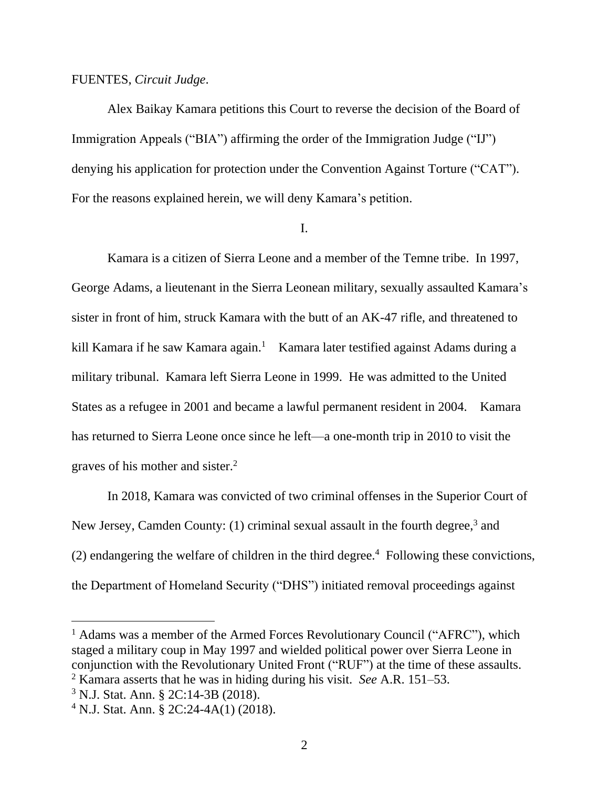#### FUENTES, *Circuit Judge*.

Alex Baikay Kamara petitions this Court to reverse the decision of the Board of Immigration Appeals ("BIA") affirming the order of the Immigration Judge ("IJ") denying his application for protection under the Convention Against Torture ("CAT"). For the reasons explained herein, we will deny Kamara's petition.

#### I.

Kamara is a citizen of Sierra Leone and a member of the Temne tribe. In 1997, George Adams, a lieutenant in the Sierra Leonean military, sexually assaulted Kamara's sister in front of him, struck Kamara with the butt of an AK-47 rifle, and threatened to kill Kamara if he saw Kamara again.<sup>1</sup> Kamara later testified against Adams during a military tribunal. Kamara left Sierra Leone in 1999. He was admitted to the United States as a refugee in 2001 and became a lawful permanent resident in 2004. Kamara has returned to Sierra Leone once since he left—a one-month trip in 2010 to visit the graves of his mother and sister.<sup>2</sup>

In 2018, Kamara was convicted of two criminal offenses in the Superior Court of New Jersey, Camden County: (1) criminal sexual assault in the fourth degree,<sup>3</sup> and  $(2)$  endangering the welfare of children in the third degree.<sup>4</sup> Following these convictions, the Department of Homeland Security ("DHS") initiated removal proceedings against

<sup>1</sup> Adams was a member of the Armed Forces Revolutionary Council ("AFRC"), which staged a military coup in May 1997 and wielded political power over Sierra Leone in conjunction with the Revolutionary United Front ("RUF") at the time of these assaults.

<sup>2</sup> Kamara asserts that he was in hiding during his visit. *See* A.R. 151–53.

<sup>3</sup> N.J. Stat. Ann. § 2C:14-3B (2018).

<sup>4</sup> N.J. Stat. Ann. § 2C:24-4A(1) (2018).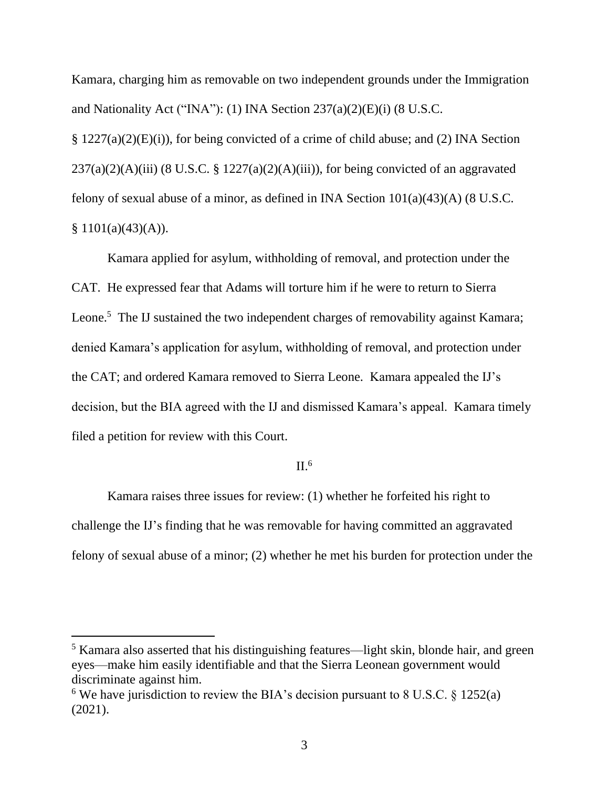Kamara, charging him as removable on two independent grounds under the Immigration and Nationality Act ("INA"): (1) INA Section 237(a)(2)(E)(i) (8 U.S.C.

§ 1227(a)(2)(E)(i)), for being convicted of a crime of child abuse; and (2) INA Section  $237(a)(2)(A)(iii)$  (8 U.S.C. § 1227(a)(2)(A)(iii)), for being convicted of an aggravated felony of sexual abuse of a minor, as defined in INA Section 101(a)(43)(A) (8 U.S.C.  $§ 1101(a)(43)(A)).$ 

Kamara applied for asylum, withholding of removal, and protection under the CAT. He expressed fear that Adams will torture him if he were to return to Sierra Leone.<sup>5</sup> The IJ sustained the two independent charges of removability against Kamara; denied Kamara's application for asylum, withholding of removal, and protection under the CAT; and ordered Kamara removed to Sierra Leone. Kamara appealed the IJ's decision, but the BIA agreed with the IJ and dismissed Kamara's appeal. Kamara timely filed a petition for review with this Court.

#### $II<sup>6</sup>$

Kamara raises three issues for review: (1) whether he forfeited his right to challenge the IJ's finding that he was removable for having committed an aggravated felony of sexual abuse of a minor; (2) whether he met his burden for protection under the

<sup>&</sup>lt;sup>5</sup> Kamara also asserted that his distinguishing features—light skin, blonde hair, and green eyes—make him easily identifiable and that the Sierra Leonean government would discriminate against him.

<sup>&</sup>lt;sup>6</sup> We have jurisdiction to review the BIA's decision pursuant to 8 U.S.C.  $\S$  1252(a) (2021).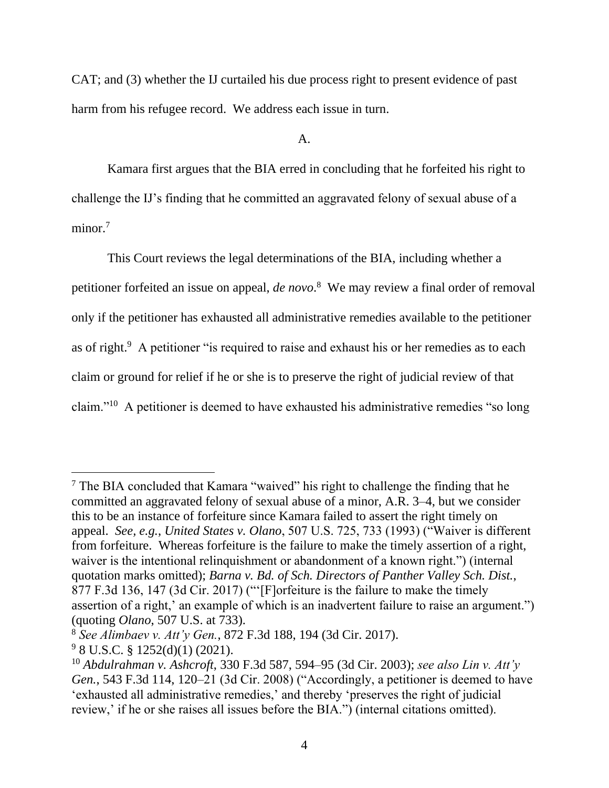CAT; and (3) whether the IJ curtailed his due process right to present evidence of past harm from his refugee record. We address each issue in turn.

A.

Kamara first argues that the BIA erred in concluding that he forfeited his right to challenge the IJ's finding that he committed an aggravated felony of sexual abuse of a minor.<sup>7</sup>

This Court reviews the legal determinations of the BIA, including whether a petitioner forfeited an issue on appeal, *de novo*. 8 We may review a final order of removal only if the petitioner has exhausted all administrative remedies available to the petitioner as of right.<sup>9</sup> A petitioner "is required to raise and exhaust his or her remedies as to each claim or ground for relief if he or she is to preserve the right of judicial review of that claim."<sup>10</sup> A petitioner is deemed to have exhausted his administrative remedies "so long

<sup>7</sup> The BIA concluded that Kamara "waived" his right to challenge the finding that he committed an aggravated felony of sexual abuse of a minor, A.R. 3–4, but we consider this to be an instance of forfeiture since Kamara failed to assert the right timely on appeal. *See, e.g.*, *United States v. Olano*, 507 U.S. 725, 733 (1993) ("Waiver is different from forfeiture. Whereas forfeiture is the failure to make the timely assertion of a right, waiver is the intentional relinquishment or abandonment of a known right.") (internal quotation marks omitted); *Barna v. Bd. of Sch. Directors of Panther Valley Sch. Dist.*, 877 F.3d 136, 147 (3d Cir. 2017) ("'[F]orfeiture is the failure to make the timely assertion of a right,' an example of which is an inadvertent failure to raise an argument.") (quoting *Olano*, 507 U.S. at 733).

<sup>8</sup> *See Alimbaev v. Att'y Gen.*, 872 F.3d 188, 194 (3d Cir. 2017).

 $9$  8 U.S.C. § 1252(d)(1) (2021).

<sup>10</sup> *Abdulrahman v. Ashcroft*, 330 F.3d 587, 594–95 (3d Cir. 2003); *see also Lin v. Att'y Gen.*, 543 F.3d 114, 120–21 (3d Cir. 2008) ("Accordingly, a petitioner is deemed to have 'exhausted all administrative remedies,' and thereby 'preserves the right of judicial review,' if he or she raises all issues before the BIA.") (internal citations omitted).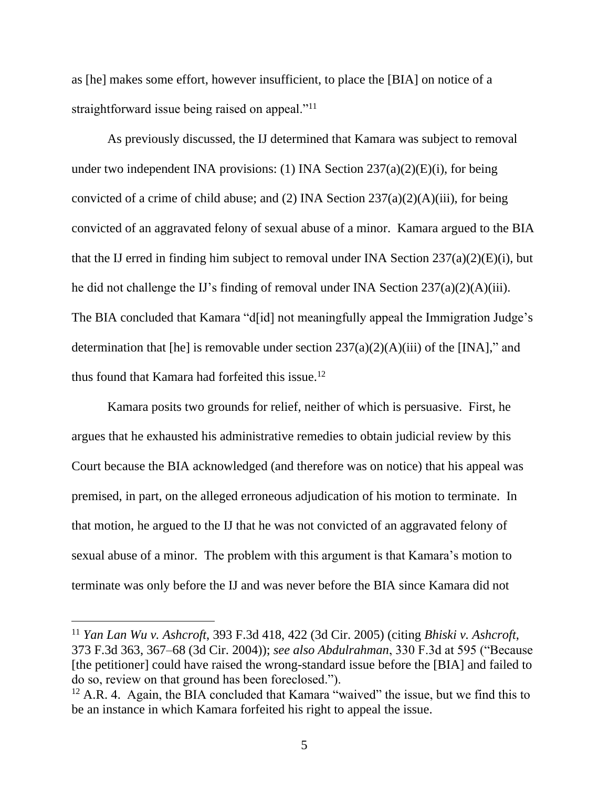as [he] makes some effort, however insufficient, to place the [BIA] on notice of a straightforward issue being raised on appeal."<sup>11</sup>

As previously discussed, the IJ determined that Kamara was subject to removal under two independent INA provisions: (1) INA Section  $237(a)(2)(E)(i)$ , for being convicted of a crime of child abuse; and (2) INA Section 237(a)(2)(A)(iii), for being convicted of an aggravated felony of sexual abuse of a minor. Kamara argued to the BIA that the IJ erred in finding him subject to removal under INA Section  $237(a)(2)(E)(i)$ , but he did not challenge the IJ's finding of removal under INA Section 237(a)(2)(A)(iii). The BIA concluded that Kamara "d[id] not meaningfully appeal the Immigration Judge's determination that [he] is removable under section 237(a)(2)(A)(iii) of the [INA]," and thus found that Kamara had forfeited this issue.<sup>12</sup>

Kamara posits two grounds for relief, neither of which is persuasive. First, he argues that he exhausted his administrative remedies to obtain judicial review by this Court because the BIA acknowledged (and therefore was on notice) that his appeal was premised, in part, on the alleged erroneous adjudication of his motion to terminate. In that motion, he argued to the IJ that he was not convicted of an aggravated felony of sexual abuse of a minor. The problem with this argument is that Kamara's motion to terminate was only before the IJ and was never before the BIA since Kamara did not

<sup>11</sup> *Yan Lan Wu v. Ashcroft*, 393 F.3d 418, 422 (3d Cir. 2005) (citing *Bhiski v. Ashcroft*, 373 F.3d 363, 367–68 (3d Cir. 2004)); *see also Abdulrahman*, 330 F.3d at 595 ("Because [the petitioner] could have raised the wrong-standard issue before the [BIA] and failed to do so, review on that ground has been foreclosed.").

 $12$  A.R. 4. Again, the BIA concluded that Kamara "waived" the issue, but we find this to be an instance in which Kamara forfeited his right to appeal the issue.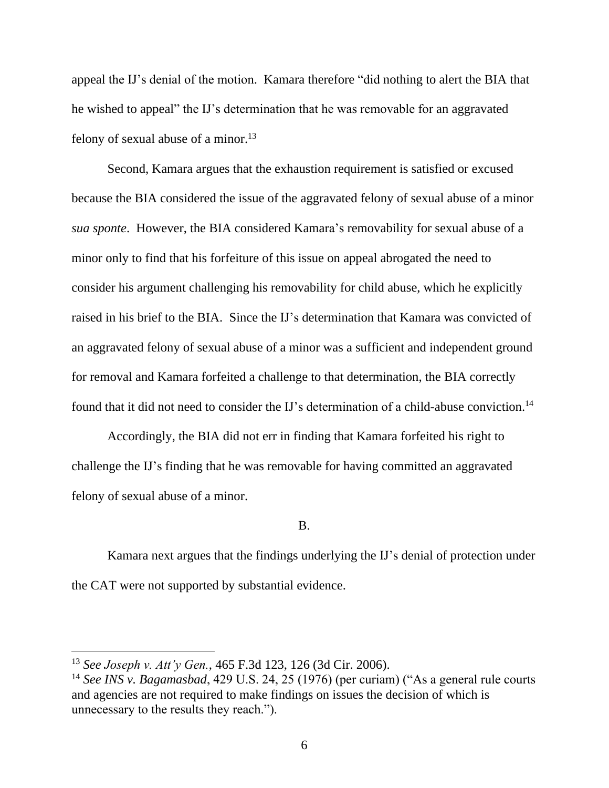appeal the IJ's denial of the motion. Kamara therefore "did nothing to alert the BIA that he wished to appeal" the IJ's determination that he was removable for an aggravated felony of sexual abuse of a minor.<sup>13</sup>

Second, Kamara argues that the exhaustion requirement is satisfied or excused because the BIA considered the issue of the aggravated felony of sexual abuse of a minor *sua sponte*. However, the BIA considered Kamara's removability for sexual abuse of a minor only to find that his forfeiture of this issue on appeal abrogated the need to consider his argument challenging his removability for child abuse, which he explicitly raised in his brief to the BIA. Since the IJ's determination that Kamara was convicted of an aggravated felony of sexual abuse of a minor was a sufficient and independent ground for removal and Kamara forfeited a challenge to that determination, the BIA correctly found that it did not need to consider the IJ's determination of a child-abuse conviction.<sup>14</sup>

Accordingly, the BIA did not err in finding that Kamara forfeited his right to challenge the IJ's finding that he was removable for having committed an aggravated felony of sexual abuse of a minor.

B.

Kamara next argues that the findings underlying the IJ's denial of protection under the CAT were not supported by substantial evidence.

<sup>13</sup> *See Joseph v. Att'y Gen.*, 465 F.3d 123, 126 (3d Cir. 2006).

<sup>14</sup> *See INS v. Bagamasbad*, 429 U.S. 24, 25 (1976) (per curiam) ("As a general rule courts and agencies are not required to make findings on issues the decision of which is unnecessary to the results they reach.").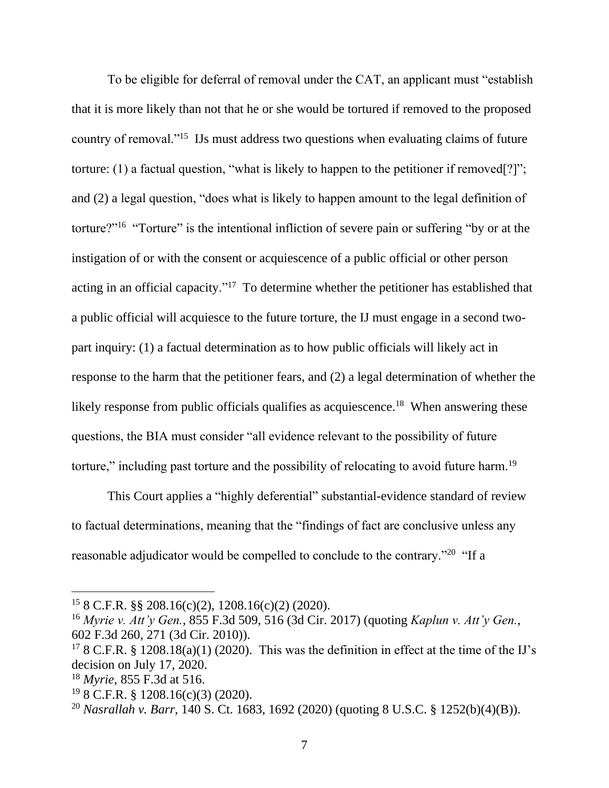To be eligible for deferral of removal under the CAT, an applicant must "establish that it is more likely than not that he or she would be tortured if removed to the proposed country of removal."<sup>15</sup> IJs must address two questions when evaluating claims of future torture: (1) a factual question, "what is likely to happen to the petitioner if removed[?]"; and (2) a legal question, "does what is likely to happen amount to the legal definition of torture?"<sup>16</sup> "Torture" is the intentional infliction of severe pain or suffering "by or at the instigation of or with the consent or acquiescence of a public official or other person acting in an official capacity."<sup>17</sup> To determine whether the petitioner has established that a public official will acquiesce to the future torture, the IJ must engage in a second twopart inquiry: (1) a factual determination as to how public officials will likely act in response to the harm that the petitioner fears, and (2) a legal determination of whether the likely response from public officials qualifies as acquiescence.<sup>18</sup> When answering these questions, the BIA must consider "all evidence relevant to the possibility of future torture," including past torture and the possibility of relocating to avoid future harm.<sup>19</sup>

This Court applies a "highly deferential" substantial-evidence standard of review to factual determinations, meaning that the "findings of fact are conclusive unless any reasonable adjudicator would be compelled to conclude to the contrary."<sup>20</sup> "If a

 $15$  8 C.F.R. §§ 208.16(c)(2), 1208.16(c)(2) (2020).

<sup>16</sup> *Myrie v. Att'y Gen.*, 855 F.3d 509, 516 (3d Cir. 2017) (quoting *Kaplun v. Att'y Gen.*, 602 F.3d 260, 271 (3d Cir. 2010)).

<sup>&</sup>lt;sup>17</sup> 8 C.F.R. § 1208.18(a)(1) (2020). This was the definition in effect at the time of the IJ's decision on July 17, 2020.

<sup>18</sup> *Myrie*, 855 F.3d at 516.

<sup>19</sup> 8 C.F.R. § 1208.16(c)(3) (2020).

<sup>20</sup> *Nasrallah v. Barr*, 140 S. Ct. 1683, 1692 (2020) (quoting 8 U.S.C. § 1252(b)(4)(B)).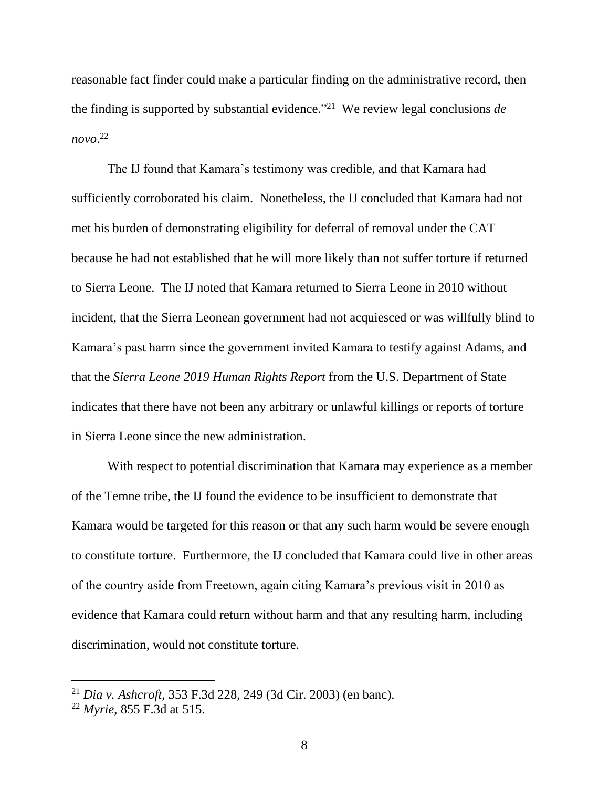reasonable fact finder could make a particular finding on the administrative record, then the finding is supported by substantial evidence." 21 We review legal conclusions *de novo*. 22

The IJ found that Kamara's testimony was credible, and that Kamara had sufficiently corroborated his claim. Nonetheless, the IJ concluded that Kamara had not met his burden of demonstrating eligibility for deferral of removal under the CAT because he had not established that he will more likely than not suffer torture if returned to Sierra Leone. The IJ noted that Kamara returned to Sierra Leone in 2010 without incident, that the Sierra Leonean government had not acquiesced or was willfully blind to Kamara's past harm since the government invited Kamara to testify against Adams, and that the *Sierra Leone 2019 Human Rights Report* from the U.S. Department of State indicates that there have not been any arbitrary or unlawful killings or reports of torture in Sierra Leone since the new administration.

With respect to potential discrimination that Kamara may experience as a member of the Temne tribe, the IJ found the evidence to be insufficient to demonstrate that Kamara would be targeted for this reason or that any such harm would be severe enough to constitute torture. Furthermore, the IJ concluded that Kamara could live in other areas of the country aside from Freetown, again citing Kamara's previous visit in 2010 as evidence that Kamara could return without harm and that any resulting harm, including discrimination, would not constitute torture.

<sup>21</sup> *Dia v. Ashcroft*, 353 F.3d 228, 249 (3d Cir. 2003) (en banc).

<sup>22</sup> *Myrie*, 855 F.3d at 515.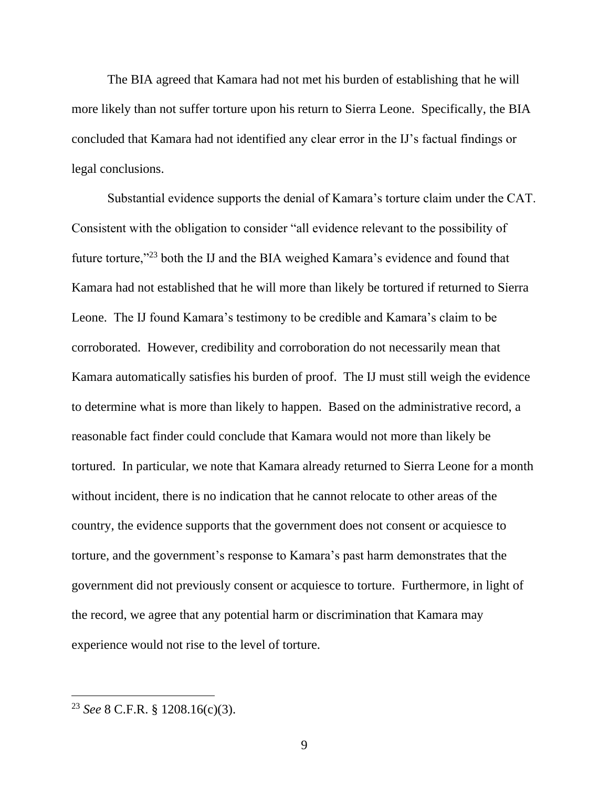The BIA agreed that Kamara had not met his burden of establishing that he will more likely than not suffer torture upon his return to Sierra Leone. Specifically, the BIA concluded that Kamara had not identified any clear error in the IJ's factual findings or legal conclusions.

Substantial evidence supports the denial of Kamara's torture claim under the CAT. Consistent with the obligation to consider "all evidence relevant to the possibility of future torture,"<sup>23</sup> both the IJ and the BIA weighed Kamara's evidence and found that Kamara had not established that he will more than likely be tortured if returned to Sierra Leone. The IJ found Kamara's testimony to be credible and Kamara's claim to be corroborated. However, credibility and corroboration do not necessarily mean that Kamara automatically satisfies his burden of proof. The IJ must still weigh the evidence to determine what is more than likely to happen. Based on the administrative record, a reasonable fact finder could conclude that Kamara would not more than likely be tortured. In particular, we note that Kamara already returned to Sierra Leone for a month without incident, there is no indication that he cannot relocate to other areas of the country, the evidence supports that the government does not consent or acquiesce to torture, and the government's response to Kamara's past harm demonstrates that the government did not previously consent or acquiesce to torture. Furthermore, in light of the record, we agree that any potential harm or discrimination that Kamara may experience would not rise to the level of torture.

<sup>23</sup> *See* 8 C.F.R. § 1208.16(c)(3).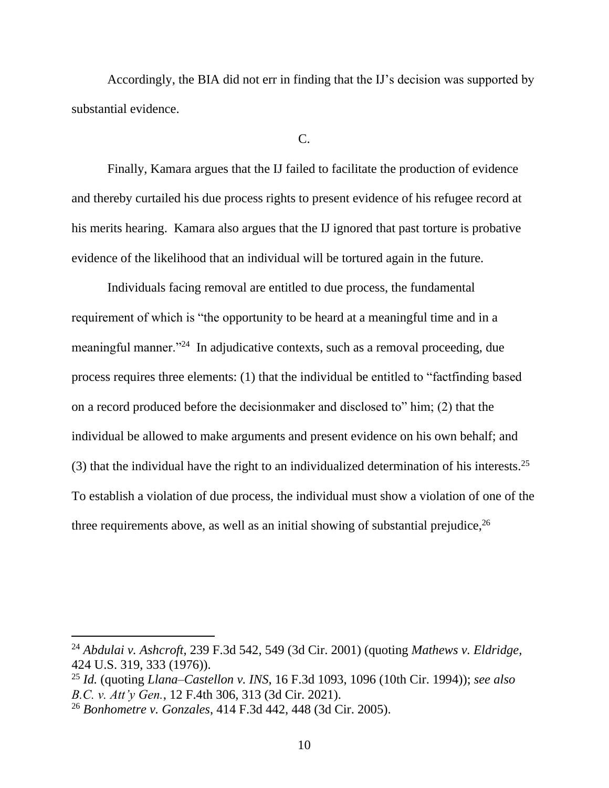Accordingly, the BIA did not err in finding that the IJ's decision was supported by substantial evidence.

#### $C_{\cdot}$

Finally, Kamara argues that the IJ failed to facilitate the production of evidence and thereby curtailed his due process rights to present evidence of his refugee record at his merits hearing. Kamara also argues that the IJ ignored that past torture is probative evidence of the likelihood that an individual will be tortured again in the future.

Individuals facing removal are entitled to due process, the fundamental requirement of which is "the opportunity to be heard at a meaningful time and in a meaningful manner."<sup>24</sup> In adjudicative contexts, such as a removal proceeding, due process requires three elements: (1) that the individual be entitled to "factfinding based on a record produced before the decisionmaker and disclosed to" him; (2) that the individual be allowed to make arguments and present evidence on his own behalf; and (3) that the individual have the right to an individualized determination of his interests.<sup>25</sup> To establish a violation of due process, the individual must show a violation of one of the three requirements above, as well as an initial showing of substantial prejudice,  $26$ 

<sup>24</sup> *Abdulai v. Ashcroft*, 239 F.3d 542, 549 (3d Cir. 2001) (quoting *Mathews v. Eldridge*, 424 U.S. 319, 333 (1976)).

<sup>25</sup> *Id.* (quoting *Llana–Castellon v. INS*, 16 F.3d 1093, 1096 (10th Cir. 1994)); *see also B.C. v. Att'y Gen.*, 12 F.4th 306, 313 (3d Cir. 2021).

<sup>26</sup> *Bonhometre v. Gonzales*, 414 F.3d 442, 448 (3d Cir. 2005).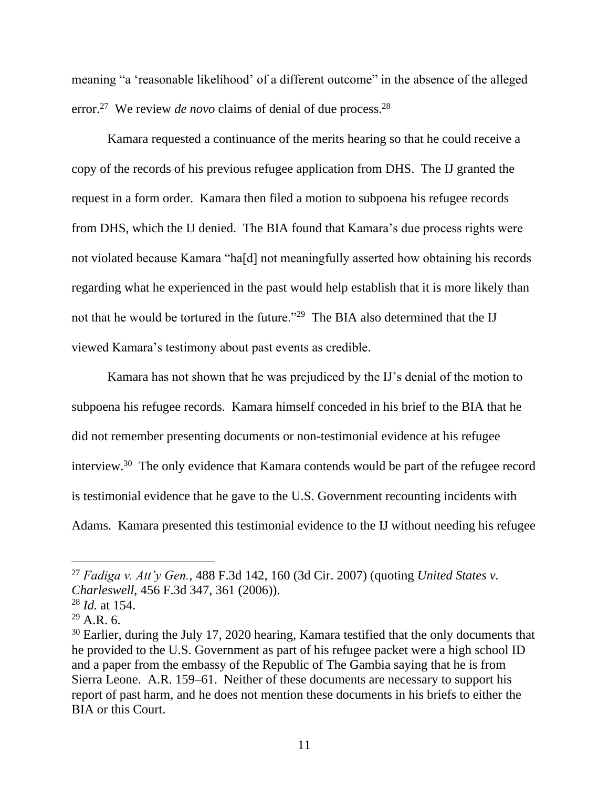meaning "a 'reasonable likelihood' of a different outcome" in the absence of the alleged error.<sup>27</sup> We review *de novo* claims of denial of due process.<sup>28</sup>

Kamara requested a continuance of the merits hearing so that he could receive a copy of the records of his previous refugee application from DHS. The IJ granted the request in a form order. Kamara then filed a motion to subpoena his refugee records from DHS, which the IJ denied. The BIA found that Kamara's due process rights were not violated because Kamara "ha[d] not meaningfully asserted how obtaining his records regarding what he experienced in the past would help establish that it is more likely than not that he would be tortured in the future."<sup>29</sup> The BIA also determined that the IJ viewed Kamara's testimony about past events as credible.

Kamara has not shown that he was prejudiced by the IJ's denial of the motion to subpoena his refugee records. Kamara himself conceded in his brief to the BIA that he did not remember presenting documents or non-testimonial evidence at his refugee interview.<sup>30</sup> The only evidence that Kamara contends would be part of the refugee record is testimonial evidence that he gave to the U.S. Government recounting incidents with Adams. Kamara presented this testimonial evidence to the IJ without needing his refugee

<sup>27</sup> *Fadiga v. Att'y Gen.*, 488 F.3d 142, 160 (3d Cir. 2007) (quoting *United States v. Charleswell*, 456 F.3d 347, 361 (2006)).

<sup>28</sup> *Id.* at 154.

 $^{29}$  A.R. 6.

<sup>&</sup>lt;sup>30</sup> Earlier, during the July 17, 2020 hearing, Kamara testified that the only documents that he provided to the U.S. Government as part of his refugee packet were a high school ID and a paper from the embassy of the Republic of The Gambia saying that he is from Sierra Leone.A.R. 159–61.Neither of these documents are necessary to support his report of past harm, and he does not mention these documents in his briefs to either the BIA or this Court.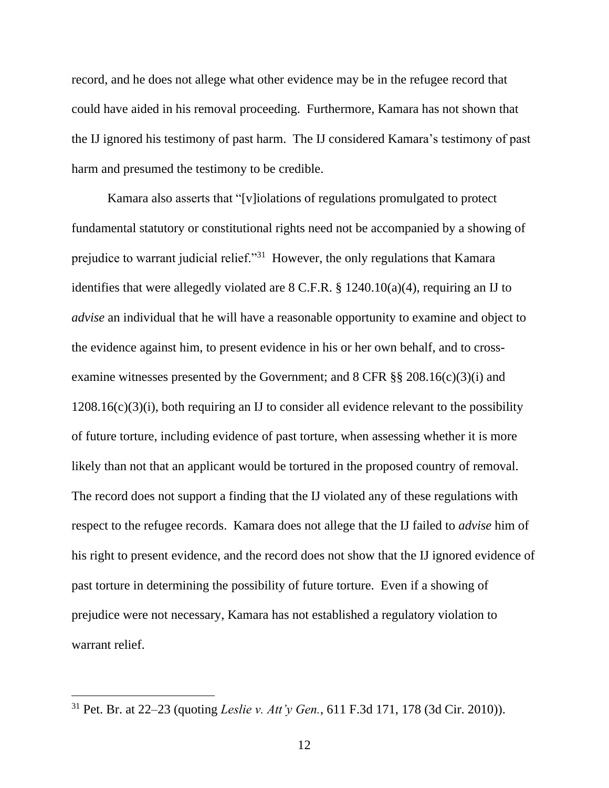record, and he does not allege what other evidence may be in the refugee record that could have aided in his removal proceeding. Furthermore, Kamara has not shown that the IJ ignored his testimony of past harm. The IJ considered Kamara's testimony of past harm and presumed the testimony to be credible.

Kamara also asserts that "[v]iolations of regulations promulgated to protect fundamental statutory or constitutional rights need not be accompanied by a showing of prejudice to warrant judicial relief."<sup>31</sup> However, the only regulations that Kamara identifies that were allegedly violated are  $8$  C.F.R.  $\S$  1240.10(a)(4), requiring an IJ to *advise* an individual that he will have a reasonable opportunity to examine and object to the evidence against him, to present evidence in his or her own behalf, and to crossexamine witnesses presented by the Government; and 8 CFR §§ 208.16(c)(3)(i) and  $1208.16(c)(3)(i)$ , both requiring an IJ to consider all evidence relevant to the possibility of future torture, including evidence of past torture, when assessing whether it is more likely than not that an applicant would be tortured in the proposed country of removal. The record does not support a finding that the IJ violated any of these regulations with respect to the refugee records. Kamara does not allege that the IJ failed to *advise* him of his right to present evidence, and the record does not show that the IJ ignored evidence of past torture in determining the possibility of future torture. Even if a showing of prejudice were not necessary, Kamara has not established a regulatory violation to warrant relief.

<sup>31</sup> Pet. Br. at 22–23 (quoting *Leslie v. Att'y Gen.*, 611 F.3d 171, 178 (3d Cir. 2010)).